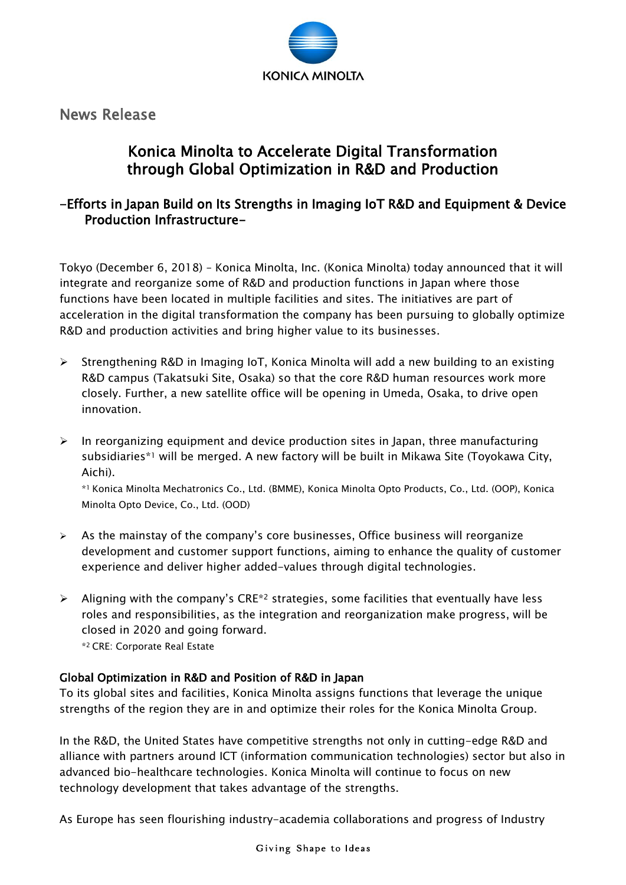

News Release

# Konica Minolta to Accelerate Digital Transformation through Global Optimization in R&D and Production

## -Efforts in Japan Build on Its Strengths in Imaging IoT R&D and Equipment & Device Production Infrastructure-

Tokyo (December 6, 2018) – Konica Minolta, Inc. (Konica Minolta) today announced that it will integrate and reorganize some of R&D and production functions in Japan where those functions have been located in multiple facilities and sites. The initiatives are part of acceleration in the digital transformation the company has been pursuing to globally optimize R&D and production activities and bring higher value to its businesses.

- $\triangleright$  Strengthening R&D in Imaging IoT, Konica Minolta will add a new building to an existing R&D campus (Takatsuki Site, Osaka) so that the core R&D human resources work more closely. Further, a new satellite office will be opening in Umeda, Osaka, to drive open innovation.
- $\triangleright$  In reorganizing equipment and device production sites in Japan, three manufacturing subsidiaries\*<sup>1</sup> will be merged. A new factory will be built in Mikawa Site (Toyokawa City, Aichi).

\*<sup>1</sup> Konica Minolta Mechatronics Co., Ltd. (BMME), Konica Minolta Opto Products, Co., Ltd. (OOP), Konica Minolta Opto Device, Co., Ltd. (OOD)

- $\triangleright$  As the mainstay of the company's core businesses, Office business will reorganize development and customer support functions, aiming to enhance the quality of customer experience and deliver higher added-values through digital technologies.
- $\triangleright$  Aligning with the company's CRE<sup>\*2</sup> strategies, some facilities that eventually have less roles and responsibilities, as the integration and reorganization make progress, will be closed in 2020 and going forward. \*2 CRE: Corporate Real Estate

### Global Optimization in R&D and Position of R&D in Japan

To its global sites and facilities, Konica Minolta assigns functions that leverage the unique strengths of the region they are in and optimize their roles for the Konica Minolta Group.

In the R&D, the United States have competitive strengths not only in cutting-edge R&D and alliance with partners around ICT (information communication technologies) sector but also in advanced bio-healthcare technologies. Konica Minolta will continue to focus on new technology development that takes advantage of the strengths.

As Europe has seen flourishing industry-academia collaborations and progress of Industry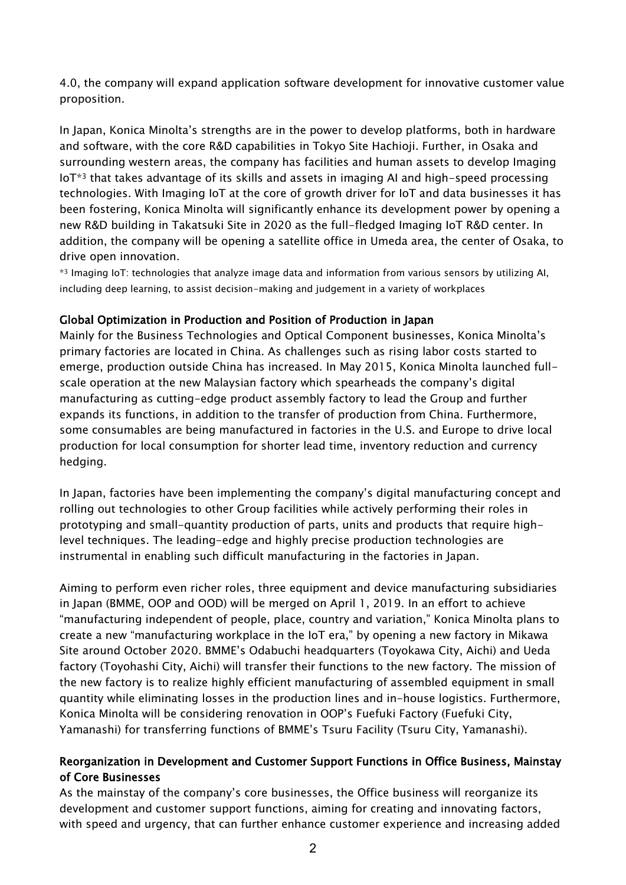4.0, the company will expand application software development for innovative customer value proposition.

In Japan, Konica Minolta's strengths are in the power to develop platforms, both in hardware and software, with the core R&D capabilities in Tokyo Site Hachioji. Further, in Osaka and surrounding western areas, the company has facilities and human assets to develop Imaging IoT\*<sup>3</sup> that takes advantage of its skills and assets in imaging AI and high-speed processing technologies. With Imaging IoT at the core of growth driver for IoT and data businesses it has been fostering, Konica Minolta will significantly enhance its development power by opening a new R&D building in Takatsuki Site in 2020 as the full-fledged Imaging IoT R&D center. In addition, the company will be opening a satellite office in Umeda area, the center of Osaka, to drive open innovation.

\*<sup>3</sup> Imaging IoT: technologies that analyze image data and information from various sensors by utilizing AI, including deep learning, to assist decision-making and judgement in a variety of workplaces

#### Global Optimization in Production and Position of Production in Japan

Mainly for the Business Technologies and Optical Component businesses, Konica Minolta's primary factories are located in China. As challenges such as rising labor costs started to emerge, production outside China has increased. In May 2015, Konica Minolta launched fullscale operation at the new Malaysian factory which spearheads the company's digital manufacturing as cutting-edge product assembly factory to lead the Group and further expands its functions, in addition to the transfer of production from China. Furthermore, some consumables are being manufactured in factories in the U.S. and Europe to drive local production for local consumption for shorter lead time, inventory reduction and currency hedging.

In Japan, factories have been implementing the company's digital manufacturing concept and rolling out technologies to other Group facilities while actively performing their roles in prototyping and small-quantity production of parts, units and products that require highlevel techniques. The leading-edge and highly precise production technologies are instrumental in enabling such difficult manufacturing in the factories in Japan.

Aiming to perform even richer roles, three equipment and device manufacturing subsidiaries in Japan (BMME, OOP and OOD) will be merged on April 1, 2019. In an effort to achieve "manufacturing independent of people, place, country and variation," Konica Minolta plans to create a new "manufacturing workplace in the IoT era," by opening a new factory in Mikawa Site around October 2020. BMME's Odabuchi headquarters (Toyokawa City, Aichi) and Ueda factory (Toyohashi City, Aichi) will transfer their functions to the new factory. The mission of the new factory is to realize highly efficient manufacturing of assembled equipment in small quantity while eliminating losses in the production lines and in-house logistics. Furthermore, Konica Minolta will be considering renovation in OOP's Fuefuki Factory (Fuefuki City, Yamanashi) for transferring functions of BMME's Tsuru Facility (Tsuru City, Yamanashi).

#### Reorganization in Development and Customer Support Functions in Office Business, Mainstay of Core Businesses

As the mainstay of the company's core businesses, the Office business will reorganize its development and customer support functions, aiming for creating and innovating factors, with speed and urgency, that can further enhance customer experience and increasing added